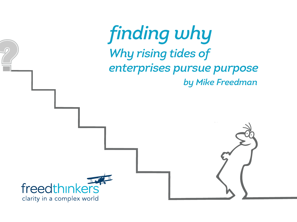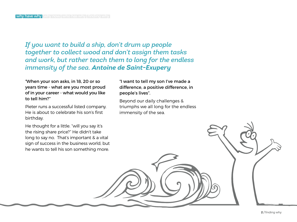*If you want to build a ship, don't drum up people together to collect wood and don't assign them tasks and work, but rather teach them to long for the endless immensity of the sea. Antoine de Saint-Exupery*

"When your son asks, in 18, 20 or so years time - what are you most proud of in your career - what would you like to tell him?"

Pieter runs a successful listed company. He is about to celebrate his son's first birthday.

He thought for a little. "will you say it's the rising share price?" He didn't take long to say no. That's important & a vital sign of success in the business world, but he wants to tell his son something more.

"I want to tell my son I've made a difference, a positive difference, in people's lives".

Beyond our daily challenges & triumphs we all long for the endless immensity of the sea.

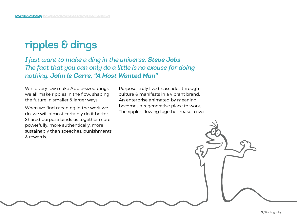# ripples & dings

#### *I just want to make a ding in the universe. Steve Jobs The fact that you can only do a little is no excuse for doing nothing. John le Carre, "A Most Wanted Man"*

While very few make Apple-sized dings, we all make ripples in the flow, shaping the future in smaller & larger ways.

When we find meaning in the work we do, we will almost certainly do it better. Shared purpose binds us together more powerfully, more authentically, more sustainably than speeches, punishments & rewards.

Purpose, truly lived, cascades through culture & manifests in a vibrant brand. An enterprise animated by meaning becomes a regenerative place to work. The ripples, flowing together, make a river.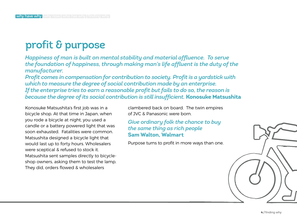# profit & purpose

*Happiness of man is built on mental stability and material affluence. To serve the foundation of happiness, through making man's life affluent is the duty of the manufacturer.* 

*Profit comes in compensation for contribution to society. Profit is a yardstick with which to measure the degree of social contribution made by an enterprise. If the enterprise tries to earn a reasonable profit but fails to do so, the reason is because the degree of its social contribution is still insufficient.* **Konosuke Matsushita**

Konosuke Matsushita's first job was in a bicycle shop. At that time in Japan, when you rode a bicycle at night, you used a candle or a battery powered light that was soon exhausted. Fatalities were common. Matsushita designed a bicycle light that would last up to forty hours. Wholesalers were sceptical & refused to stock it. Matsushita sent samples directly to bicycleshop owners, asking them to test the lamp. They did, orders flowed & wholesalers

clambered back on board. The twin empires of JVC & Panasonic were born.

*Give ordinary folk the chance to buy the same thing as rich people* **Sam Walton, Walmart**

Purpose turns to profit in more ways than one.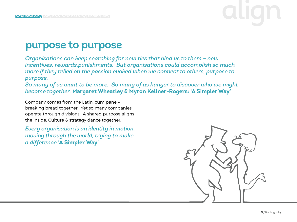#### purpose to purpose

*Organisations can keep searching for new ties that bind us to them – new incentives, rewards,punishments. But organisations could accomplish so much more if they relied on the passion evoked when we connect to others, purpose to purpose.*

*So many of us want to be more. So many of us hunger to discover who we might become together.* **Margaret Wheatley & Myron Kellner-Rogers: 'A Simpler Way'**

Company comes from the Latin, cum pane – breaking bread together. Yet so many companies operate through divisions. A shared purpose aligns the inside. Culture & strategy dance together.

*Every organisation is an identity in motion, moving through the world, trying to make a difference* **'A Simpler Way'**

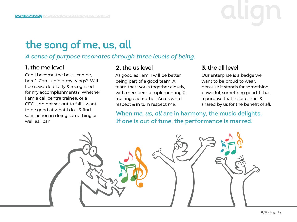# why have why why now who has why finding why  $\blacksquare$

### the song of me, us, all

#### *A sense of purpose resonates through three levels of being.*

#### **1.** the me level **2.** the us level **3.** the all level

Can I become the best I can be, here? Can I unfold my wings? Will I be rewarded fairly & recognised for my accomplishments? Whether I am a call centre trainee, or a CEO, I do not set out to fail. I want to be good at what I do - & find satisfaction in doing something as well as I can.

As good as I am, I will be better being part of a good team. A team that works together closely, with members complementing & trusting each-other. An us who I respect & in turn respect me.

Our enterprise is a badge we want to be proud to wear, because it stands for something powerful, something good. It has a purpose that inspires me, & shared by us for the benefit of all.

When *me, us, all* are in harmony, the music delights. If one is out of tune, the performance is marred.

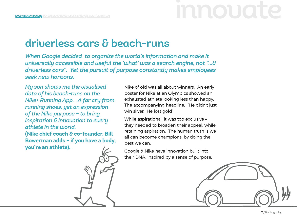# driverless cars & beach-runs

*When Google decided to organize the world's information and make it universally accessible and useful the 'what' was a search engine, not "…& driverless cars". Yet the pursuit of purpose constantly makes employees seek new horizons.* 

*My son shows me the visualised data of his beach-runs on the Nike+ Running App. A far cry from running shoes, yet an expression of the Nike purpose – to bring inspiration & innovation to every athlete in the world.*  **(Nike chief coach & co-founder, Bill Bowerman adds – if you have a body, you're an athlete).** 

Nike of old was all about winners. An early poster for Nike at an Olympics showed an exhausted athlete looking less than happy. The accompanying headline: "He didn't just win silver. He lost gold"

While aspirational, it was too exclusive – they needed to broaden their appeal, while retaining aspiration. The human truth is we all can become champions, by doing the best we can.

Google & Nike have innovation built into their DNA, inspired by a sense of purpose.

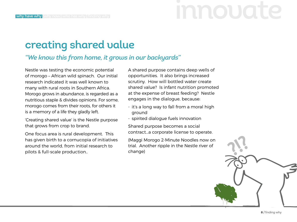### creating shared value

#### *"We know this from home, it grows in our backyards"*

Nestle was testing the economic potential of morogo – African wild spinach. Our initial research indicated it was well known to many with rural roots in Southern Africa. Morogo grows in abundance, is regarded as a nutritious staple & divides opinions. For some, morogo comes from their roots, for others it is a memory of a life they gladly left.

'Creating shared value' is the Nestle purpose that grows from crop to brand.

One focus area is rural development. This has given birth to a cornucopia of initiatives around the world, from initial research to pilots & full-scale production..

A shared purpose contains deep wells of opportunities. It also brings increased scrutiny. How will bottled water create shared value? Is infant nutrition promoted at the expense of breast feeding? Nestle engages in the dialogue, because:

- it's a long way to fall from a moral high ground
- spirited dialogue fuels innovation

Shared purpose becomes a social contract…a corporate license to operate.

(Maggi Morogo 2-Minute Noodles now on trial. Another ripple in the Nestle river of change)

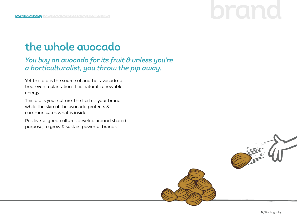### the whole avocado

*You buy an avocado for its fruit & unless you're a horticulturalist, you throw the pip away.*

Yet this pip is the source of another avocado, a tree, even a plantation. It is natural, renewable energy.

This pip is your culture, the flesh is your brand, while the skin of the avocado protects & communicates what is inside.

Positive, aligned cultures develop around shared purpose, to grow & sustain powerful brands.

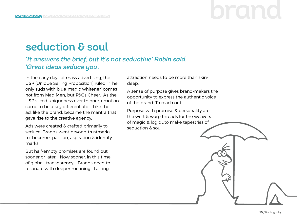# why have why why now who has why finding why  $\blacksquare$

# seduction & soul

#### *'It answers the brief, but it's not seductive' Robin said. 'Great ideas seduce you'.*

In the early days of mass advertising, the USP (Unique Selling Proposition) ruled. 'The only suds with blue-magic whitener' comes not from Mad Men, but P&Gs Cheer. As the USP sliced uniqueness ever thinner, emotion came to be a key differentiator. Like the ad, like the brand, became the mantra that gave rise to the creative agency.

Ads were created & crafted primarily to seduce. Brands went beyond trustmarks to become passion, aspiration & identity marks.

But half-empty promises are found out, sooner or later. Now sooner, in this time of global transparency. Brands need to resonate with deeper meaning. Lasting

attraction needs to be more than skindeep.

A sense of purpose gives brand-makers the opportunity to express the authentic voice of the brand. To reach out .

Purpose with promise & personality are the weft & warp threads for the weavers of magic & logic …to make tapestries of seduction & soul.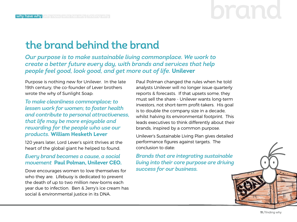# the brand behind the brand

*Our purpose is to make sustainable living commonplace. We work to create a better future every day, with brands and services that help people feel good, look good, and get more out of life.* **Unilever**

Purpose is nothing new for Unilever. In the late 19th century, the co-founder of Lever brothers wrote the why of Sunlight Soap:

*To make cleanliness commonplace; to lessen work for women; to foster health and contribute to personal attractiveness, that life may be more enjoyable and rewarding for the people who use our products.* **William Hesketh Lever**

120 years later, Lord Lever's spirit thrives at the heart of the global giant he helped to found.

#### *Every brand becomes a cause, a social movement* **Paul Polman, Unilever CEO.**

Dove encourages women to love themselves for who they are. Lifebuoy is dedicated to prevent the death of up to two million new-borns each year due to infection. Ben & Jerry's ice cream has social & environmental justice in its DNA.

Paul Polman changed the rules when he told analysts Unilever will no longer issue quarterly reports & forecasts. If that upsets some, they must sell the share - Unilever wants long-term investors, not short-term profit-takers. His goal is to double the company size in a decade, whilst halving its environmental footprint. This leads executives to think differently about their brands, inspired by a common purpose.

Unilever's Sustainable Living Plan gives detailed performance figures against targets. The conclusion to date:

*Brands that are integrating sustainable living into their core purpose are driving success for our business.*

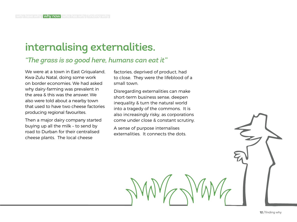### internalising externalities.

#### *"The grass is so good here, humans can eat it"*

We were at a town in East Griqualand, Kwa-Zulu Natal, doing some work on border economies. We had asked why dairy-farming was prevalent in the area & this was the answer. We also were told about a nearby town that used to have two cheese factories producing regional favourites.

Then a major dairy company started buying up all the milk – to send by road to Durban for their centralised cheese plants. The local cheese

factories, deprived of product, had to close. They were the lifeblood of a small town.

Disregarding externalities can make short-term business sense, deepen inequality & turn the natural world into a tragedy of the commons. It is also increasingly risky, as corporations come under close & constant scrutiny.

A sense of purpose internalises externalities. It connects the dots.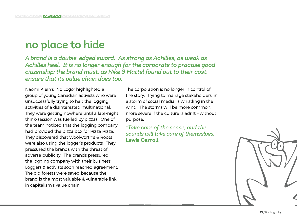#### no place to hide

*A brand is a double-edged sword. As strong as Achilles, as weak as Achilles heel. It is no longer enough for the corporate to practise good citizenship; the brand must, as Nike & Mattel found out to their cost, ensure that its value chain does too.* 

Naomi Klein's "No Logo" highlighted a group of young Canadian activists who were unsuccessfully trying to halt the logging activities of a disinterested multinational. They were getting nowhere until a late-night think-session was fuelled by pizzas. One of the team noticed that the logging company had provided the pizza box for Pizza Pizza. They discovered that Woolworth's & Roots were also using the logger's products. They pressured the brands with the threat of adverse publicity. The brands pressured the logging company with their business. Loggers & activists soon reached agreement. The old forests were saved because the brand is the most valuable & vulnerable link in capitalism's value chain.

The corporation is no longer in control of the story. Trying to manage stakeholders, in a storm of social media, is whistling in the wind. The storms will be more common, more severe if the culture is adrift – without purpose.

*"Take care of the sense, and the sounds will take care of themselves."* **Lewis Carroll**

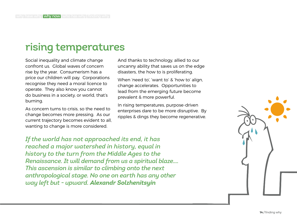# rising temperatures

Social inequality and climate change confront us. Global waves of concern rise by the year. Consumerism has a price our children will pay. Corporations recognise they need a moral licence to operate. They also know you cannot do business in a society, or world, that's burning.

As concern turns to crisis, so the need to change becomes more pressing. As our current trajectory becomes evident to all, wanting to change is more considered.

And thanks to technology, allied to our uncanny ability that saves us on the edge disasters, the how to is proliferating.

When 'need to', 'want to' & 'how to' align, change accelerates. Opportunities to lead from the emerging future become prevalent & more powerful.

In rising temperatures, purpose-driven enterprises dare to be more disruptive. By ripples & dings they become regenerative.

*If the world has not approached its end, it has reached a major watershed in history, equal in history to the turn from the Middle Ages to the Renaissance. It will demand from us a spiritual blaze.... This ascension is similar to climbing onto the next anthropological stage. No one on earth has any other way left but - upward. Alexandr Solzhenitsyin*

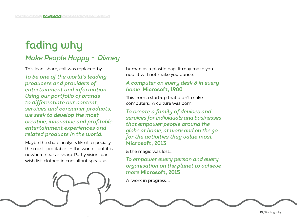# fading why

#### *Make People Happy - Disney*

This lean, sharp, call was replaced by:

*To be one of the world's leading producers and providers of entertainment and information. Using our portfolio of brands to differentiate our content, services and consumer products, we seek to develop the most creative, innovative and profitable entertainment experiences and related products in the world.*

Maybe the share analysts like it, especially the most…profitable…in the world – but it is nowhere near as sharp. Partly vision, part wish-list, clothed in consultant-speak, as

human as a plastic bag. It may make you nod, it will not make you dance.

#### *A computer on every desk & in every home* **Microsoft, 1980**

This from a start-up that didn't make computers. A culture was born.

*To create a family of devices and services for individuals and businesses that empower people around the globe at home, at work and on the go, for the activities they value most*  **Microsoft, 2013**

& the magic was lost…

*To empower every person and every organisation on the planet to achieve more* **Microsoft, 2015**

A work in progress.....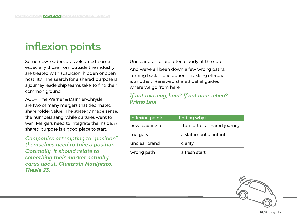# inflexion points

Some new leaders are welcomed, some especially those from outside the industry, are treated with suspicion, hidden or open hostility. The search for a shared purpose is a journey leadership teams take, to find their common ground.

AOL—Time Warner & Daimler-Chrysler are two of many mergers that decimated shareholder value. The strategy made sense, the numbers sang, while cultures went to war. Mergers need to integrate the inside. A shared purpose is a good place to start.

*Companies attempting to "position" themselves need to take a position. Optimally, it should relate to something their market actually cares about. Cluetrain Manifesto. Thesis 23.* 

Unclear brands are often cloudy at the core.

And we've all been down a few wrong paths. Turning back is one option – trekking off-road is another. Renewed shared belief guides where we go from here.

#### *If not this way, how? If not now, when? Primo Levi*

| inflexion points | finding why is                |
|------------------|-------------------------------|
| new leadership   | the start of a shared journey |
| mergers          | a statement of intent         |
| unclear brand    | clarity                       |
| wrong path       | a fresh start                 |

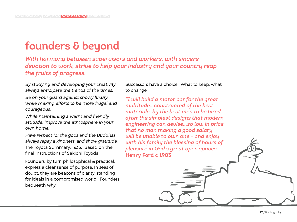# **founders & beyond**

*With harmony between supervisors and workers, with sincere devotion to work, strive to help your industry and your country reap the fruits of progress.*

By studying and developing your creativity, always anticipate the trends of the times.

Be on your guard against showy luxury, while making efforts to be more frugal and courageous.

While maintaining a warm and friendly attitude, improve the atmosphere in your own home.

Have respect for the gods and the Buddhas, always repay a kindness, and show gratitude. The Toyota Summary, 1935. Based on the final instructions of Sakichi Toyoda

Founders, by turn philosophical & practical, express a clear sense of purpose. In seas of doubt, they are beacons of clarity, standing for ideals in a compromised world. Founders bequeath why.

Successors have a choice. What to keep, what to change.

*"I will build a motor car for the great multitude...constructed of the best materials, by the best men to be hired, after the simplest designs that modern engineering can devise...so low in price that no man making a good salary will be unable to own one - and enjoy with his family the blessing of hours of pleasure in God's great open spaces."*  **Henry Ford c 1903**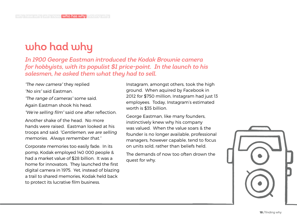# who had why

*In 1900 George Eastman introduced the Kodak Brownie camera for hobbyists, with its populist \$1 price-point. In the launch to his salesmen, he asked them what they had to sell.* 

"The new camera" they replied

"No sirs" said Eastman.

"The range of cameras" some said. Again Eastman shook his head.

"We're selling film" said one after reflection.

Another shake of the head. No more hands were raised. Eastman looked at his troops and said: "Gentlemen, we are selling memories. Always remember that."

Corporate memories too easily fade. In its pomp, Kodak employed 140 000 people & had a market value of \$28 billion. It was a home for innovators. They launched the first digital camera in 1975. Yet, instead of blazing a trail to shared memories, Kodak held back to protect its lucrative film business.

Instagram, amongst others, took the high ground. When aquired by Facebook in 2012 for \$750 million, Instagram had just 13 employees. Today, Instagram's estimated worth is \$35 billion.

George Eastman, like many founders, instinctively knew why his company was valued. When the value soars & the founder is no longer available, professional managers, however capable, tend to focus on units sold, rather than beliefs held.

The demands of now too often drown the quest for why.

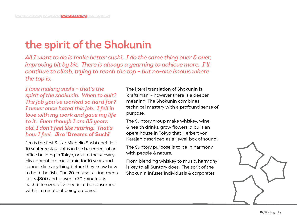# the spirit of the Shokunin

*All I want to do is make better sushi. I do the same thing over & over, improving bit by bit. There is always a yearning to achieve more. I'll continue to climb, trying to reach the top – but no-one knows where the top is.*

*I love making sushi – that's the spirit of the shokunin. When to quit? The job you've worked so hard for? I never once hated this job. I fell in love with my work and gave my life to it. Even though I am 85 years old, I don't feel like retiring. That's how I feel.* **Jiro 'Dreams of Sushi'**

Jiro is the first 3-star Michelin Sushi chef. His 10 seater restaurant is in the basement of an office building in Tokyo, next to the subway. His apprentices must train for 10 years and cannot slice anything before they know how to hold the fish. The 20-course tasting menu costs \$300 and is over in 30 minutes as each bite-sized dish needs to be consumed within a minute of being prepared.

The literal translation of Shokunin is 'craftsman' – however there is a deeper meaning. The Shokunin combines technical mastery with a profound sense of purpose.

The Suntory group make whiskey, wine & health drinks, grow flowers, & built an opera house in Tokyo that Herbert von Karajan described as a 'jewel-box of sound'.

The Suntory purpose is to be in harmony with people & nature.

From blending whiskey to music, harmony is key to all Suntory does. The sprit of the Shokunin infuses individuals & corporates.

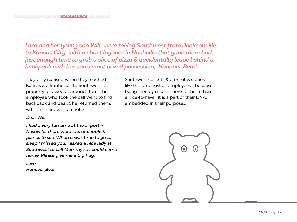*Lara and her young son Will, were taking Southwest from Jacksonville to Kansas City, with a short layover in Nashville that gave them both just enough time to grab a slice of pizza & accidentally leave behind a backpack with her son's most prized possession, 'Hanover Bear'.*

They only realised when they reached Kansas & a frantic call to Southwest lost property followed at around 11pm. The employee who took the call went to find backpack and bear. She returned them, with this handwritten note:

#### Dear Will,

I had a very fun time at the airport in Nashville. There were lots of people & planes to see. When it was time to go to sleep I missed you. I asked a nice lady at Southwest to call Mummy so I could come home. Please give me a big hug.

Love, Hanover Bear Southwest collects & promotes stories like this amongst all employees – because being friendly means more to them than a nice-to-have. It is a part of their DNA, embedded in their purpose...

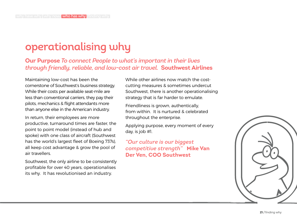# operationalising why

**Our Purpose** *To connect People to what's important in their lives through friendly, reliable, and low-cost air travel.* **Southwest Airlines**

Maintaining low-cost has been the cornerstone of Southwest's business strategy. While their costs per available seat-mile are less than conventional carriers, they pay their pilots, mechanics & flight attendants more than anyone else in the American industry.

In return, their employees are more productive, turnaround times are faster, the point to point model (instead of hub and spoke) with one class of aircraft (Southwest has the world's largest fleet of Boeing 737s), all keep cost advantage & grow the pool of air travellers.

Southwest, the only airline to be consistently profitable for over 40 years, operationalises its why. It has revolutionised an industry.

While other airlines now match the costcutting measures & sometimes undercut Southwest, there is another operationalising strategy that is far harder to emulate.

Friendliness is grown, authentically, from within. It is nurtured & celebrated throughout the enterprise.

Applying purpose, every moment of every day, is job #1.

*"Our culture is our biggest competitive strength"* **Mike Van Der Ven, COO Southwest**

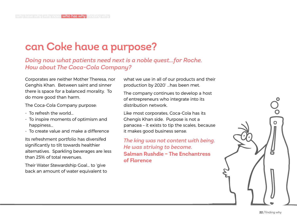### can Coke have a purpose?

*Doing now what patients need next is a noble quest…for Roche. How about The Coca-Cola Company?* 

Corporates are neither Mother Theresa, nor Genghis Khan. Between saint and sinner there is space for a balanced morality. To do more good than harm.

The Coca-Cola Company purpose:

- To refresh the world...
- To inspire moments of optimism and happiness…
- To create value and make a difference

Its refreshment portfolio has diversifed significantly to tilt towards healthier alternatives. Sparkling beverages are less than 25% of total revenues.

Their Water Stewardship Goal… to 'give back an amount of water equivalent to what we use in all of our products and their production by 2020' …has been met.

The company continues to develop a host of entrepreneurs who integrate into its distribution network.

Like most corporates, Coca-Cola has its Ghengis Khan side. Purpose is not a panacea – it exists to tip the scales, because it makes good business sense.

*The king was not content with being. He was striving to become.*  **Salman Rushdie – The Enchantress of Florence**

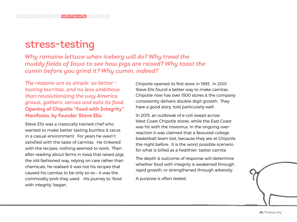#### stress-testing

*Why romaine lettuce when iceberg will do? Why tread the muddy fields of Iowa to see how pigs are raised? Why toast the cumin before you grind it? Why cumin, indeed?*

*The reasons are as simple as better tasting burritos, and no less ambitious than revolutionizing the way America grows, gathers, serves and eats its food.*  **Opening of Chipotle "Food with Integrity" Manifesto, by founder Steve Ells**

Steve Ells was a classically trained chef who wanted to make better tasting burritos & tacos in a casual environment. For years he wasn't satisfied with the taste of carnitas. He tinkered with the recipes, nothing seemed to work. Then after reading about farms in Iowa that raised pigs the old-fashioned way, relying on care rather than chemicals, he realised it was not his recipes that caused his carnitas to be only so-so – it was the commodity pork they used. His journey to 'food with integrity' began.

Chipotle opened its first store in 1993. In 2001 Steve Ells found a better way to make carnitas. Chipotle now has over 1500 stores & the company consistently delivers double-digit growth. They have a good story, told particularly well.

In 2015, an outbreak of e-coli swept across West Coast Chipotle stores, while the East Coast was hit with the novovirus. In the ongoing overreaction it was claimed that a favoured college basketball team lost, because they ate at Chipotle the night before. It is the worst possible scenario for what is billed as a healthier, tastier carnita.

The depth & outcome of response will determine whether food with integrity is weakened through rapid growth, or strengthened through adversity.

A purpose is often tested.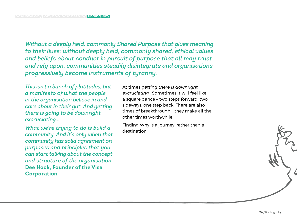*Without a deeply held, commonly Shared Purpose that gives meaning to their lives; without deeply held, commonly shared, ethical values and beliefs about conduct in pursuit of purpose that all may trust and rely upon, communities steadily disintegrate and organisations progressively become instruments of tyranny.* 

*This isn't a bunch of platitudes, but a manifesto of what the people in the organisation believe in and care about in their gut. And getting there is going to be downright excruciating…* 

*What we're trying to do is build a community. And it's only when that community has solid agreement on purposes and principles that you can start talking about the concept and structure of the organisation.* **Dee Hock, Founder of the Visa Corporation**

At times getting there is downright excruciating. Sometimes it will feel like a square dance – two steps forward, two sideways, one step back. There are also times of breakthrough - they make all the other times worthwhile.

Finding Why is a journey, rather than a destination.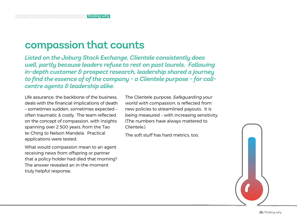#### compassion that counts

*Listed on the Joburg Stock Exchange, Clientele consistently does well, partly because leaders refuse to rest on past laurels. Following in-depth customer & prospect research, leadership shared a journey to find the essence of of the company - a Clientele purpose - for callcentre agents & leadership alike.*

Life assurance, the backbone of the business, deals with the financial implications of death – sometimes sudden, sometimes expected – often traumatic & costly. The team reflected on the concept of compassion, with insights spanning over 2 500 years, from the Tao te-Ching to Nelson Mandela. Practical applications were tested.

What would compassion mean to an agent receiving news from offspring or partner that a policy-holder had died that morning? The answer revealed an in-the-moment truly helpful response.

The Clientele purpose, Safeguarding your world with compassion, is reflected from new policies to streamlined payouts. It is being measured – with increasing sensitivity. (The numbers have always mattered to Clientele.)

The soft stuff has hard metrics, too.

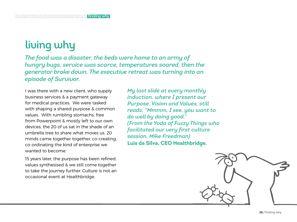# living why

*The food was a disaster, the beds were home to an army of hungry bugs, service was scarce, temperatures soared, then the generator broke down. The executive retreat was turning into an episode of Survivor.*

I was there with a new client, who supply business services & a payment gateway for medical practices. We were tasked with shaping a shared purpose & common values. With rumbling stomachs, free from Powerpoint & mostly left to our own devices, the 20 of us sat in the shade of an umbrella tree to share what moves us. 20 minds came together together, co-creating, co-ordinating the kind of enterprise we wanted to become.

15 years later, the purpose has been refined, values synthesised & we still come together to take the journey further. Culture is not an occasional event at Healthbridge.

*My last slide at every monthly induction, where I present our Purpose, Vision and Values, still reads, "Mmmm, I see, you want to do well by doing good." (From the Yoda of Fuzzy Things who facilitated our very first culture session, Mike Freedman)*  **Luis da Silva, CEO Healthbridge.**